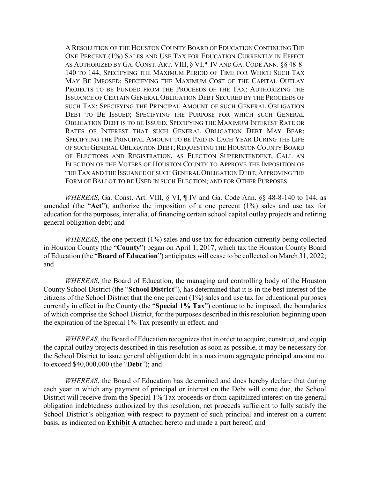A RESOLUTION OF THE HOUSTON COUNTY BOARD OF EDUCATION CONTINUING THE ONE PERCENT (1%) SALES AND USE TAX FOR EDUCATION CURRENTLY IN EFFECT AS AUTHORIZED BY GA. CONST. ART. VIII, § VI, ¶ IV AND GA. CODE ANN. §§ 48-8- 140 TO 144; SPECIFYING THE MAXIMUM PERIOD OF TIME FOR WHICH SUCH TAX MAY BE IMPOSED; SPECIFYING THE MAXIMUM COST OF THE CAPITAL OUTLAY PROJECTS TO BE FUNDED FROM THE PROCEEDS OF THE TAX; AUTHORIZING THE ISSUANCE OF CERTAIN GENERAL OBLIGATION DEBT SECURED BY THE PROCEEDS OF SUCH TAX; SPECIFYING THE PRINCIPAL AMOUNT OF SUCH GENERAL OBLIGATION DEBT TO BE ISSUED; SPECIFYING THE PURPOSE FOR WHICH SUCH GENERAL OBLIGATION DEBT IS TO BE ISSUED; SPECIFYING THE MAXIMUM INTEREST RATE OR RATES OF INTEREST THAT SUCH GENERAL OBLIGATION DEBT MAY BEAR; SPECIFYING THE PRINCIPAL AMOUNT TO BE PAID IN EACH YEAR DURING THE LIFE OF SUCH GENERAL OBLIGATION DEBT; REQUESTING THE HOUSTON COUNTY BOARD OF ELECTIONS AND REGISTRATION, AS ELECTION SUPERINTENDENT, CALL AN ELECTION OF THE VOTERS OF HOUSTON COUNTY TO APPROVE THE IMPOSITION OF THE TAX AND THE ISSUANCE OF SUCH GENERAL OBLIGATION DEBT; APPROVING THE FORM OF BALLOT TO BE USED IN SUCH ELECTION; AND FOR OTHER PURPOSES.

*WHEREAS*, Ga. Const. Art. VIII, § VI, ¶ IV and Ga. Code Ann. §§ 48-8-140 to 144, as amended (the "**Act**"), authorize the imposition of a one percent (1%) sales and use tax for education for the purposes, inter alia, of financing certain school capital outlay projects and retiring general obligation debt; and

*WHEREAS*, the one percent (1%) sales and use tax for education currently being collected in Houston County (the "**County**") began on April 1, 2017, which tax the Houston County Board of Education (the "**Board of Education**") anticipates will cease to be collected on March 31, 2022; and

*WHEREAS*, the Board of Education, the managing and controlling body of the Houston County School District (the "**School District**"), has determined that it is in the best interest of the citizens of the School District that the one percent (1%) sales and use tax for educational purposes currently in effect in the County (the "**Special 1% Tax**") continue to be imposed, the boundaries of which comprise the School District, for the purposes described in this resolution beginning upon the expiration of the Special 1% Tax presently in effect; and

*WHEREAS*, the Board of Education recognizes that in order to acquire, construct, and equip the capital outlay projects described in this resolution as soon as possible, it may be necessary for the School District to issue general obligation debt in a maximum aggregate principal amount not to exceed \$40,000,000 (the "**Debt**"); and

*WHEREAS*, the Board of Education has determined and does hereby declare that during each year in which any payment of principal or interest on the Debt will come due, the School District will receive from the Special 1% Tax proceeds or from capitalized interest on the general obligation indebtedness authorized by this resolution, net proceeds sufficient to fully satisfy the School District's obligation with respect to payment of such principal and interest on a current basis, as indicated on **Exhibit A** attached hereto and made a part hereof; and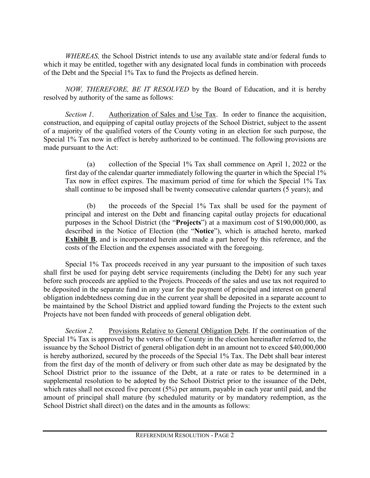*WHEREAS,* the School District intends to use any available state and/or federal funds to which it may be entitled, together with any designated local funds in combination with proceeds of the Debt and the Special 1% Tax to fund the Projects as defined herein.

*NOW, THEREFORE, BE IT RESOLVED* by the Board of Education, and it is hereby resolved by authority of the same as follows:

*Section 1.* Authorization of Sales and Use Tax. In order to finance the acquisition, construction, and equipping of capital outlay projects of the School District, subject to the assent of a majority of the qualified voters of the County voting in an election for such purpose, the Special 1% Tax now in effect is hereby authorized to be continued. The following provisions are made pursuant to the Act:

(a) collection of the Special 1% Tax shall commence on April 1, 2022 or the first day of the calendar quarter immediately following the quarter in which the Special 1% Tax now in effect expires. The maximum period of time for which the Special 1% Tax shall continue to be imposed shall be twenty consecutive calendar quarters (5 years); and

(b) the proceeds of the Special 1% Tax shall be used for the payment of principal and interest on the Debt and financing capital outlay projects for educational purposes in the School District (the "**Projects**") at a maximum cost of \$190,000,000, as described in the Notice of Election (the "**Notice**"), which is attached hereto, marked **Exhibit B**, and is incorporated herein and made a part hereof by this reference, and the costs of the Election and the expenses associated with the foregoing.

Special 1% Tax proceeds received in any year pursuant to the imposition of such taxes shall first be used for paying debt service requirements (including the Debt) for any such year before such proceeds are applied to the Projects. Proceeds of the sales and use tax not required to be deposited in the separate fund in any year for the payment of principal and interest on general obligation indebtedness coming due in the current year shall be deposited in a separate account to be maintained by the School District and applied toward funding the Projects to the extent such Projects have not been funded with proceeds of general obligation debt.

*Section 2.* Provisions Relative to General Obligation Debt. If the continuation of the Special 1% Tax is approved by the voters of the County in the election hereinafter referred to, the issuance by the School District of general obligation debt in an amount not to exceed \$40,000,000 is hereby authorized, secured by the proceeds of the Special 1% Tax. The Debt shall bear interest from the first day of the month of delivery or from such other date as may be designated by the School District prior to the issuance of the Debt, at a rate or rates to be determined in a supplemental resolution to be adopted by the School District prior to the issuance of the Debt, which rates shall not exceed five percent (5%) per annum, payable in each year until paid, and the amount of principal shall mature (by scheduled maturity or by mandatory redemption, as the School District shall direct) on the dates and in the amounts as follows: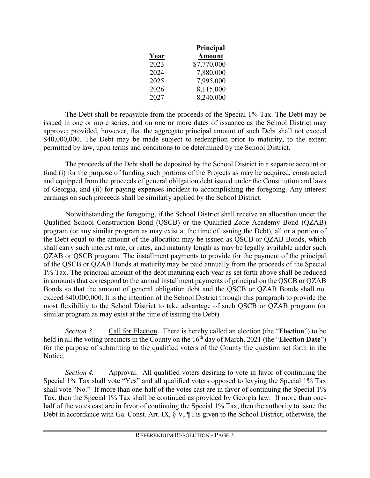|      | Principal     |
|------|---------------|
| Year | <b>Amount</b> |
| 2023 | \$7,770,000   |
| 2024 | 7,880,000     |
| 2025 | 7,995,000     |
| 2026 | 8,115,000     |
| 2027 | 8,240,000     |

The Debt shall be repayable from the proceeds of the Special 1% Tax. The Debt may be issued in one or more series, and on one or more dates of issuance as the School District may approve; provided, however, that the aggregate principal amount of such Debt shall not exceed \$40,000,000. The Debt may be made subject to redemption prior to maturity, to the extent permitted by law, upon terms and conditions to be determined by the School District.

The proceeds of the Debt shall be deposited by the School District in a separate account or fund (i) for the purpose of funding such portions of the Projects as may be acquired, constructed and equipped from the proceeds of general obligation debt issued under the Constitution and laws of Georgia, and (ii) for paying expenses incident to accomplishing the foregoing. Any interest earnings on such proceeds shall be similarly applied by the School District.

Notwithstanding the foregoing, if the School District shall receive an allocation under the Qualified School Construction Bond (QSCB) or the Qualified Zone Academy Bond (QZAB) program (or any similar program as may exist at the time of issuing the Debt), all or a portion of the Debt equal to the amount of the allocation may be issued as QSCB or QZAB Bonds, which shall carry such interest rate, or rates, and maturity length as may be legally available under such QZAB or QSCB program. The installment payments to provide for the payment of the principal of the QSCB or QZAB Bonds at maturity may be paid annually from the proceeds of the Special 1% Tax. The principal amount of the debt maturing each year as set forth above shall be reduced in amounts that correspond to the annual installment payments of principal on the QSCB or QZAB Bonds so that the amount of general obligation debt and the QSCB or QZAB Bonds shall not exceed \$40,000,000. It is the intention of the School District through this paragraph to provide the most flexibility to the School District to take advantage of such QSCB or QZAB program (or similar program as may exist at the time of issuing the Debt).

*Section 3.* Call for Election. There is hereby called an election (the "**Election**") to be held in all the voting precincts in the County on the 16<sup>th</sup> day of March, 2021 (the "**Election Date**") for the purpose of submitting to the qualified voters of the County the question set forth in the Notice.

*Section 4.* Approval. All qualified voters desiring to vote in favor of continuing the Special 1% Tax shall vote "Yes" and all qualified voters opposed to levying the Special 1% Tax shall vote "No." If more than one-half of the votes cast are in favor of continuing the Special 1% Tax, then the Special 1% Tax shall be continued as provided by Georgia law. If more than onehalf of the votes cast are in favor of continuing the Special 1% Tax, then the authority to issue the Debt in accordance with Ga. Const. Art. IX,  $\S V$ ,  $\P I$  is given to the School District; otherwise, the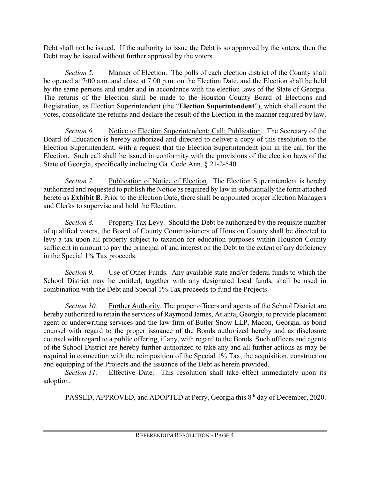Debt shall not be issued. If the authority to issue the Debt is so approved by the voters, then the Debt may be issued without further approval by the voters.

*Section 5.* Manner of Election. The polls of each election district of the County shall be opened at 7:00 a.m. and close at 7:00 p.m. on the Election Date, and the Election shall be held by the same persons and under and in accordance with the election laws of the State of Georgia. The returns of the Election shall be made to the Houston County Board of Elections and Registration, as Election Superintendent (the "**Election Superintendent**"), which shall count the votes, consolidate the returns and declare the result of the Election in the manner required by law.

*Section 6.* Notice to Election Superintendent; Call; Publication. The Secretary of the Board of Education is hereby authorized and directed to deliver a copy of this resolution to the Election Superintendent, with a request that the Election Superintendent join in the call for the Election. Such call shall be issued in conformity with the provisions of the election laws of the State of Georgia, specifically including Ga. Code Ann. § 21-2-540.

*Section 7.* Publication of Notice of Election. The Election Superintendent is hereby authorized and requested to publish the Notice as required by law in substantially the form attached hereto as **Exhibit B**. Prior to the Election Date, there shall be appointed proper Election Managers and Clerks to supervise and hold the Election.

*Section 8.* Property Tax Levy. Should the Debt be authorized by the requisite number of qualified voters, the Board of County Commissioners of Houston County shall be directed to levy a tax upon all property subject to taxation for education purposes within Houston County sufficient in amount to pay the principal of and interest on the Debt to the extent of any deficiency in the Special 1% Tax proceeds.

*Section 9.* Use of Other Funds. Any available state and/or federal funds to which the School District may be entitled, together with any designated local funds, shall be used in combination with the Debt and Special 1% Tax proceeds to fund the Projects.

*Section 10.* Further Authority. The proper officers and agents of the School District are hereby authorized to retain the services of Raymond James, Atlanta, Georgia, to provide placement agent or underwriting services and the law firm of Butler Snow LLP, Macon, Georgia, as bond counsel with regard to the proper issuance of the Bonds authorized hereby and as disclosure counsel with regard to a public offering, if any, with regard to the Bonds. Such officers and agents of the School District are hereby further authorized to take any and all further actions as may be required in connection with the reimposition of the Special 1% Tax, the acquisition, construction and equipping of the Projects and the issuance of the Debt as herein provided.

*Section 11.* Effective Date. This resolution shall take effect immediately upon its adoption.

PASSED, APPROVED, and ADOPTED at Perry, Georgia this 8<sup>th</sup> day of December, 2020.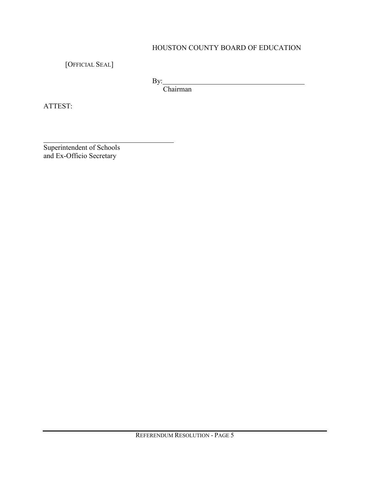# HOUSTON COUNTY BOARD OF EDUCATION

[OFFICIAL SEAL]

By:

Chairman

ATTEST:

Superintendent of Schools and Ex-Officio Secretary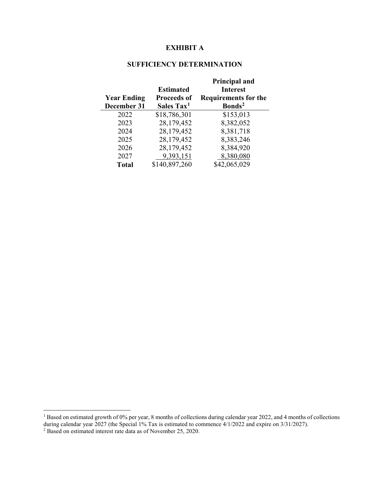## **EXHIBIT A**

### **SUFFICIENCY DETERMINATION**

| <b>Year Ending</b><br>December 31 | <b>Estimated</b><br><b>Proceeds of</b><br>Sales Tax <sup>1</sup> | <b>Principal and</b><br><b>Interest</b><br><b>Requirements for the</b><br>Bonds <sup>2</sup> |
|-----------------------------------|------------------------------------------------------------------|----------------------------------------------------------------------------------------------|
| 2022                              | \$18,786,301                                                     | \$153,013                                                                                    |
| 2023                              | 28,179,452                                                       | 8,382,052                                                                                    |
| 2024                              | 28,179,452                                                       | 8,381,718                                                                                    |
| 2025                              | 28,179,452                                                       | 8,383,246                                                                                    |
| 2026                              | 28,179,452                                                       | 8,384,920                                                                                    |
| 2027                              | 9,393,151                                                        | 8,380,080                                                                                    |
| <b>Total</b>                      | \$140,897,260                                                    | \$42,065,029                                                                                 |

<span id="page-5-0"></span><sup>&</sup>lt;sup>1</sup> Based on estimated growth of 0% per year, 8 months of collections during calendar year 2022, and 4 months of collections during calendar year 2027 (the Special 1% Tax is estimated to commence 4/1/2022 and expire on 3/31/2027).

<span id="page-5-1"></span> $2^2$  Based on estimated interest rate data as of November 25, 2020.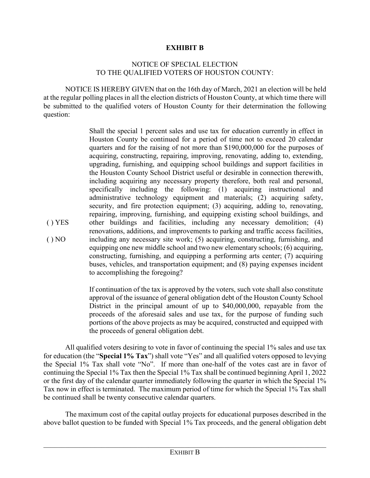### **EXHIBIT B**

#### NOTICE OF SPECIAL ELECTION TO THE QUALIFIED VOTERS OF HOUSTON COUNTY:

NOTICE IS HEREBY GIVEN that on the 16th day of March, 2021 an election will be held at the regular polling places in all the election districts of Houston County, at which time there will be submitted to the qualified voters of Houston County for their determination the following question:

( ) YES  $() NO$ Shall the special 1 percent sales and use tax for education currently in effect in Houston County be continued for a period of time not to exceed 20 calendar quarters and for the raising of not more than \$190,000,000 for the purposes of acquiring, constructing, repairing, improving, renovating, adding to, extending, upgrading, furnishing, and equipping school buildings and support facilities in the Houston County School District useful or desirable in connection therewith, including acquiring any necessary property therefore, both real and personal, specifically including the following: (1) acquiring instructional and administrative technology equipment and materials; (2) acquiring safety, security, and fire protection equipment; (3) acquiring, adding to, renovating, repairing, improving, furnishing, and equipping existing school buildings, and other buildings and facilities, including any necessary demolition; (4) renovations, additions, and improvements to parking and traffic access facilities, including any necessary site work; (5) acquiring, constructing, furnishing, and equipping one new middle school and two new elementary schools; (6) acquiring, constructing, furnishing, and equipping a performing arts center; (7) acquiring buses, vehicles, and transportation equipment; and (8) paying expenses incident to accomplishing the foregoing?

> If continuation of the tax is approved by the voters, such vote shall also constitute approval of the issuance of general obligation debt of the Houston County School District in the principal amount of up to \$40,000,000, repayable from the proceeds of the aforesaid sales and use tax, for the purpose of funding such portions of the above projects as may be acquired, constructed and equipped with the proceeds of general obligation debt.

All qualified voters desiring to vote in favor of continuing the special 1% sales and use tax for education (the "**Special 1% Tax**") shall vote "Yes" and all qualified voters opposed to levying the Special 1% Tax shall vote "No". If more than one-half of the votes cast are in favor of continuing the Special 1% Tax then the Special 1% Tax shall be continued beginning April 1, 2022 or the first day of the calendar quarter immediately following the quarter in which the Special 1% Tax now in effect is terminated. The maximum period of time for which the Special 1% Tax shall be continued shall be twenty consecutive calendar quarters.

The maximum cost of the capital outlay projects for educational purposes described in the above ballot question to be funded with Special 1% Tax proceeds, and the general obligation debt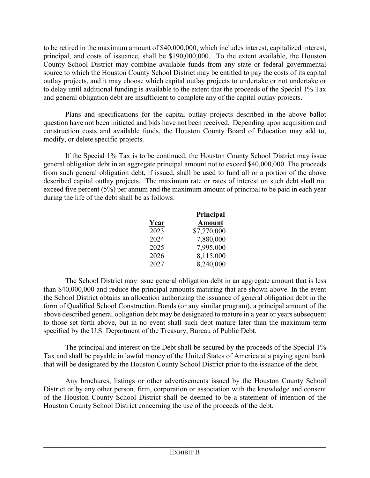to be retired in the maximum amount of \$40,000,000, which includes interest, capitalized interest, principal, and costs of issuance, shall be \$190,000,000. To the extent available, the Houston County School District may combine available funds from any state or federal governmental source to which the Houston County School District may be entitled to pay the costs of its capital outlay projects, and it may choose which capital outlay projects to undertake or not undertake or to delay until additional funding is available to the extent that the proceeds of the Special 1% Tax and general obligation debt are insufficient to complete any of the capital outlay projects.

Plans and specifications for the capital outlay projects described in the above ballot question have not been initiated and bids have not been received. Depending upon acquisition and construction costs and available funds, the Houston County Board of Education may add to, modify, or delete specific projects.

If the Special 1% Tax is to be continued, the Houston County School District may issue general obligation debt in an aggregate principal amount not to exceed \$40,000,000. The proceeds from such general obligation debt, if issued, shall be used to fund all or a portion of the above described capital outlay projects. The maximum rate or rates of interest on such debt shall not exceed five percent (5%) per annum and the maximum amount of principal to be paid in each year during the life of the debt shall be as follows:

|      | Principal     |
|------|---------------|
| Year | <b>Amount</b> |
| 2023 | \$7,770,000   |
| 2024 | 7,880,000     |
| 2025 | 7,995,000     |
| 2026 | 8,115,000     |
| 2027 | 8,240,000     |

The School District may issue general obligation debt in an aggregate amount that is less than \$40,000,000 and reduce the principal amounts maturing that are shown above. In the event the School District obtains an allocation authorizing the issuance of general obligation debt in the form of Qualified School Construction Bonds (or any similar program), a principal amount of the above described general obligation debt may be designated to mature in a year or years subsequent to those set forth above, but in no event shall such debt mature later than the maximum term specified by the U.S. Department of the Treasury, Bureau of Public Debt.

The principal and interest on the Debt shall be secured by the proceeds of the Special 1% Tax and shall be payable in lawful money of the United States of America at a paying agent bank that will be designated by the Houston County School District prior to the issuance of the debt.

Any brochures, listings or other advertisements issued by the Houston County School District or by any other person, firm, corporation or association with the knowledge and consent of the Houston County School District shall be deemed to be a statement of intention of the Houston County School District concerning the use of the proceeds of the debt.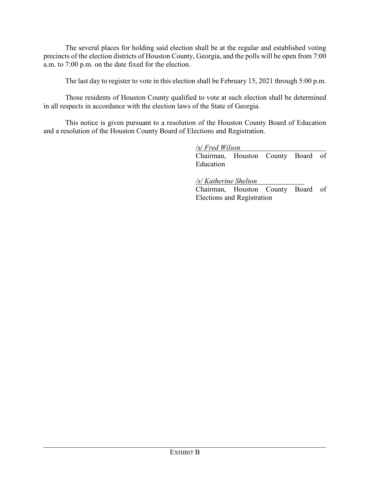The several places for holding said election shall be at the regular and established voting precincts of the election districts of Houston County, Georgia, and the polls will be open from 7:00 a.m. to 7:00 p.m. on the date fixed for the election.

The last day to register to vote in this election shall be February 15, 2021 through 5:00 p.m.

Those residents of Houston County qualified to vote at such election shall be determined in all respects in accordance with the election laws of the State of Georgia.

This notice is given pursuant to a resolution of the Houston County Board of Education and a resolution of the Houston County Board of Elections and Registration.

/s/ *Fred Wilson*

Chairman, Houston County Board of Education

*/s/ Katherine Shelton*

Chairman, Houston County Board of Elections and Registration